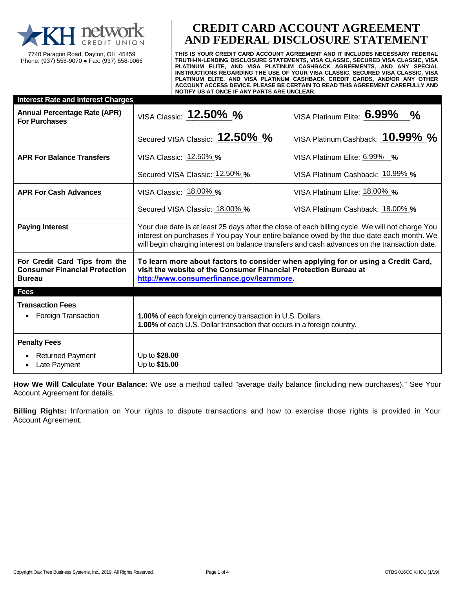

7740 Paragon Road, Dayton, OH 45459 Phone: (937) 558-9070 ● Fax: (937) 558-9066

# **CREDIT CARD ACCOUNT AGREEMENT AND FEDERAL DISCLOSURE STATEMENT**

**THIS IS YOUR CREDIT CARD ACCOUNT AGREEMENT AND IT INCLUDES NECESSARY FEDERAL TRUTH-IN-LENDING DISCLOSURE STATEMENTS, VISA CLASSIC, SECURED VISA CLASSIC, VISA PLATINUM ELITE, AND VISA PLATINUM CASHBACK AGREEMENTS, AND ANY SPECIAL INSTRUCTIONS REGARDING THE USE OF YOUR VISA CLASSIC, SECURED VISA CLASSIC, VISA PLATINUM ELITE, AND VISA PLATINUM CASHBACK CREDIT CARDS, AND/OR ANY OTHER ACCOUNT ACCESS DEVICE. PLEASE BE CERTAIN TO READ THIS AGREEMENT CAREFULLY AND NOTIFY US AT ONCE IF ANY PARTS ARE UNCLEAR.**

| <b>Interest Rate and Interest Charges</b>                                              |                                                                                                                                                                                                                                                                                             |                                  |
|----------------------------------------------------------------------------------------|---------------------------------------------------------------------------------------------------------------------------------------------------------------------------------------------------------------------------------------------------------------------------------------------|----------------------------------|
| <b>Annual Percentage Rate (APR)</b><br><b>For Purchases</b>                            | VISA Classic: 12.50% %                                                                                                                                                                                                                                                                      | VISA Platinum Elite: 6.99% %     |
|                                                                                        | Secured VISA Classic: 12.50% %                                                                                                                                                                                                                                                              | VISA Platinum Cashback: 10.99% % |
| <b>APR For Balance Transfers</b>                                                       | VISA Classic: 12.50% %                                                                                                                                                                                                                                                                      | VISA Platinum Elite: 6.99% %     |
|                                                                                        | Secured VISA Classic: 12.50% %                                                                                                                                                                                                                                                              | VISA Platinum Cashback: 10.99% % |
| <b>APR For Cash Advances</b>                                                           | VISA Classic: 18.00% %                                                                                                                                                                                                                                                                      | VISA Platinum Elite: 18.00% %    |
|                                                                                        | Secured VISA Classic: 18.00% %                                                                                                                                                                                                                                                              | VISA Platinum Cashback: 18.00% % |
| <b>Paying Interest</b>                                                                 | Your due date is at least 25 days after the close of each billing cycle. We will not charge You<br>interest on purchases if You pay Your entire balance owed by the due date each month. We<br>will begin charging interest on balance transfers and cash advances on the transaction date. |                                  |
| For Credit Card Tips from the<br><b>Consumer Financial Protection</b><br><b>Bureau</b> | To learn more about factors to consider when applying for or using a Credit Card,<br>visit the website of the Consumer Financial Protection Bureau at<br>http://www.consumerfinance.gov/learnmore.                                                                                          |                                  |
| <b>Fees</b>                                                                            |                                                                                                                                                                                                                                                                                             |                                  |
| <b>Transaction Fees</b><br><b>Foreign Transaction</b><br>$\bullet$                     | 1.00% of each foreign currency transaction in U.S. Dollars.<br>1.00% of each U.S. Dollar transaction that occurs in a foreign country.                                                                                                                                                      |                                  |
| <b>Penalty Fees</b>                                                                    |                                                                                                                                                                                                                                                                                             |                                  |
| <b>Returned Payment</b><br>Late Payment                                                | Up to \$28.00<br>Up to \$15.00                                                                                                                                                                                                                                                              |                                  |

**How We Will Calculate Your Balance:** We use a method called "average daily balance (including new purchases)." See Your Account Agreement for details.

**Billing Rights:** Information on Your rights to dispute transactions and how to exercise those rights is provided in Your Account Agreement.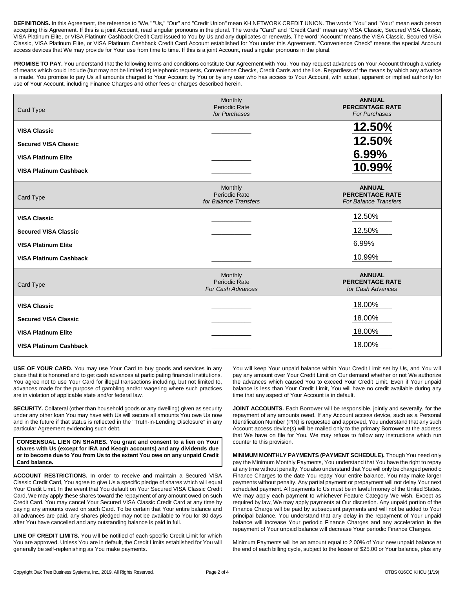**DEFINITIONS.** In this Agreement, the reference to "We," "Us," "Our" and "Credit Union" mean KH NETWORK CREDIT UNION. The words "You" and "Your" mean each person accepting this Agreement. If this is a joint Account, read singular pronouns in the plural. The words "Card" and "Credit Card" mean any VISA Classic, Secured VISA Classic, VISA Platinum Elite, or VISA Platinum Cashback Credit Card issued to You by Us and any duplicates or renewals. The word "Account" means the VISA Classic, Secured VISA Classic, VISA Platinum Elite, or VISA Platinum Cashback Credit Card Account established for You under this Agreement. "Convenience Check" means the special Account access devices that We may provide for Your use from time to time. If this is a joint Account, read singular pronouns in the plural.

PROMISE TO PAY. You understand that the following terms and conditions constitute Our Agreement with You. You may request advances on Your Account through a variety of means which could include (but may not be limited to) telephonic requests, Convenience Checks, Credit Cards and the like. Regardless of the means by which any advance is made, You promise to pay Us all amounts charged to Your Account by You or by any user who has access to Your Account, with actual, apparent or implied authority for use of Your Account, including Finance Charges and other fees or charges described herein.

| Card Type                     | Monthly<br><b>Periodic Rate</b><br>for Purchases            | <b>ANNUAL</b><br><b>PERCENTAGE RATE</b><br><b>For Purchases</b>         |
|-------------------------------|-------------------------------------------------------------|-------------------------------------------------------------------------|
| <b>VISA Classic</b>           |                                                             | 12.50%                                                                  |
| <b>Secured VISA Classic</b>   |                                                             | 12.50%                                                                  |
| <b>VISA Platinum Elite</b>    |                                                             | 6.99%                                                                   |
| <b>VISA Platinum Cashback</b> |                                                             | 10.99%                                                                  |
| Card Type                     | Monthly<br><b>Periodic Rate</b><br>for Balance Transfers    | <b>ANNUAL</b><br><b>PERCENTAGE RATE</b><br><b>For Balance Transfers</b> |
| <b>VISA Classic</b>           |                                                             | 12.50%                                                                  |
| <b>Secured VISA Classic</b>   |                                                             | 12.50%                                                                  |
| <b>VISA Platinum Elite</b>    |                                                             | 6.99%                                                                   |
| <b>VISA Platinum Cashback</b> |                                                             | 10.99%                                                                  |
| Card Type                     | Monthly<br><b>Periodic Rate</b><br><b>For Cash Advances</b> | <b>ANNUAL</b><br><b>PERCENTAGE RATE</b><br>for Cash Advances            |
| <b>VISA Classic</b>           |                                                             | 18.00%                                                                  |
| <b>Secured VISA Classic</b>   |                                                             | 18.00%                                                                  |
| <b>VISA Platinum Elite</b>    |                                                             | 18.00%                                                                  |
| <b>VISA Platinum Cashback</b> |                                                             | 18.00%                                                                  |

**USE OF YOUR CARD.** You may use Your Card to buy goods and services in any place that it is honored and to get cash advances at participating financial institutions. You agree not to use Your Card for illegal transactions including, but not limited to, advances made for the purpose of gambling and/or wagering where such practices are in violation of applicable state and/or federal law.

**SECURITY.** Collateral (other than household goods or any dwelling) given as security under any other loan You may have with Us will secure all amounts You owe Us now and in the future if that status is reflected in the "Truth-in-Lending Disclosure" in any particular Agreement evidencing such debt.

**CONSENSUAL LIEN ON SHARES. You grant and consent to a lien on Your shares with Us (except for IRA and Keogh accounts) and any dividends due or to become due to You from Us to the extent You owe on any unpaid Credit Card balance.**

**ACCOUNT RESTRICTIONS.** In order to receive and maintain a Secured VISA Classic Credit Card, You agree to give Us a specific pledge of shares which will equal Your Credit Limit. In the event that You default on Your Secured VISA Classic Credit Card, We may apply these shares toward the repayment of any amount owed on such Credit Card. You may cancel Your Secured VISA Classic Credit Card at any time by paying any amounts owed on such Card. To be certain that Your entire balance and all advances are paid, any shares pledged may not be available to You for 30 days after You have cancelled and any outstanding balance is paid in full.

**LINE OF CREDIT LIMITS.** You will be notified of each specific Credit Limit for which You are approved. Unless You are in default, the Credit Limits established for You will generally be self-replenishing as You make payments.

You will keep Your unpaid balance within Your Credit Limit set by Us, and You will pay any amount over Your Credit Limit on Our demand whether or not We authorize the advances which caused You to exceed Your Credit Limit. Even if Your unpaid balance is less than Your Credit Limit, You will have no credit available during any time that any aspect of Your Account is in default.

**JOINT ACCOUNTS.** Each Borrower will be responsible, jointly and severally, for the repayment of any amounts owed. If any Account access device, such as a Personal Identification Number (PIN) is requested and approved, You understand that any such Account access device(s) will be mailed only to the primary Borrower at the address that We have on file for You. We may refuse to follow any instructions which run counter to this provision.

**MINIMUM MONTHLY PAYMENTS (PAYMENT SCHEDULE).** Though You need only pay the Minimum Monthly Payments, You understand that You have the right to repay at any time without penalty. You also understand that You will only be charged periodic Finance Charges to the date You repay Your entire balance. You may make larger payments without penalty. Any partial payment or prepayment will not delay Your next scheduled payment. All payments to Us must be in lawful money of the United States. We may apply each payment to whichever Feature Category We wish. Except as required by law, We may apply payments at Our discretion. Any unpaid portion of the Finance Charge will be paid by subsequent payments and will not be added to Your principal balance. You understand that any delay in the repayment of Your unpaid balance will increase Your periodic Finance Charges and any acceleration in the repayment of Your unpaid balance will decrease Your periodic Finance Charges.

Minimum Payments will be an amount equal to 2.00% of Your new unpaid balance at the end of each billing cycle, subject to the lesser of \$25.00 or Your balance, plus any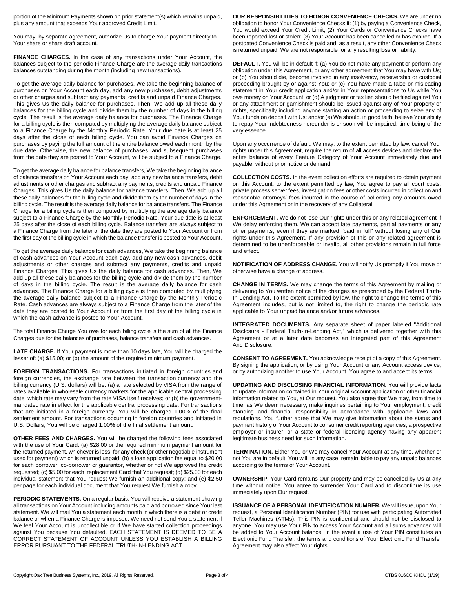portion of the Minimum Payments shown on prior statement(s) which remains unpaid, plus any amount that exceeds Your approved Credit Limit.

You may, by separate agreement, authorize Us to charge Your payment directly to Your share or share draft account.

**FINANCE CHARGES.** In the case of any transactions under Your Account, the balances subject to the periodic Finance Charge are the average daily transactions balances outstanding during the month (including new transactions).

To get the average daily balance for purchases, We take the beginning balance of purchases on Your Account each day, add any new purchases, debit adjustments or other charges and subtract any payments, credits and unpaid Finance Charges. This gives Us the daily balance for purchases. Then, We add up all these daily balances for the billing cycle and divide them by the number of days in the billing cycle. The result is the average daily balance for purchases. The Finance Charge for a billing cycle is then computed by multiplying the average daily balance subject to a Finance Charge by the Monthly Periodic Rate. Your due date is at least 25 days after the close of each billing cycle. You can avoid Finance Charges on purchases by paying the full amount of the entire balance owed each month by the due date. Otherwise, the new balance of purchases, and subsequent purchases from the date they are posted to Your Account, will be subject to a Finance Charge.

To get the average daily balance for balance transfers, We take the beginning balance of balance transfers on Your Account each day, add any new balance transfers, debit adjustments or other charges and subtract any payments, credits and unpaid Finance Charges. This gives Us the daily balance for balance transfers. Then, We add up all these daily balances for the billing cycle and divide them by the number of days in the billing cycle. The result is the average daily balance for balance transfers. The Finance Charge for a billing cycle is then computed by multiplying the average daily balance subject to a Finance Charge by the Monthly Periodic Rate. Your due date is at least 25 days after the close of each billing cycle. Balance transfers are always subject to a Finance Charge from the later of the date they are posted to Your Account or from the first day of the billing cycle in which the balance transfer is posted to Your Account.

To get the average daily balance for cash advances, We take the beginning balance of cash advances on Your Account each day, add any new cash advances, debit adjustments or other charges and subtract any payments, credits and unpaid Finance Charges. This gives Us the daily balance for cash advances. Then, We add up all these daily balances for the billing cycle and divide them by the number of days in the billing cycle. The result is the average daily balance for cash advances. The Finance Charge for a billing cycle is then computed by multiplying the average daily balance subject to a Finance Charge by the Monthly Periodic Rate. Cash advances are always subject to a Finance Charge from the later of the date they are posted to Your Account or from the first day of the billing cycle in which the cash advance is posted to Your Account.

The total Finance Charge You owe for each billing cycle is the sum of all the Finance Charges due for the balances of purchases, balance transfers and cash advances.

**LATE CHARGE.** If Your payment is more than 10 days late, You will be charged the lesser of: (a) \$15.00; or (b) the amount of the required minimum payment.

**FOREIGN TRANSACTIONS.** For transactions initiated in foreign countries and foreign currencies, the exchange rate between the transaction currency and the billing currency (U.S. dollars) will be: (a) a rate selected by VISA from the range of rates available in wholesale currency markets for the applicable central processing date, which rate may vary from the rate VISA itself receives; or (b) the governmentmandated rate in effect for the applicable central processing date. For transactions that are initiated in a foreign currency, You will be charged 1.00% of the final settlement amount. For transactions occurring in foreign countries and initiated in U.S. Dollars, You will be charged 1.00% of the final settlement amount.

**OTHER FEES AND CHARGES.** You will be charged the following fees associated with the use of Your Card: (a) \$28.00 or the required minimum payment amount for the returned payment, whichever is less, for any check (or other negotiable instrument used for payment) which is returned unpaid; (b) a loan application fee equal to \$20.00 for each borrower, co-borrower or guarantor, whether or not We approved the credit requested; (c) \$5.00 for each replacement Card that You request; (d) \$25.00 for each individual statement that You request We furnish an additional copy; and (e) \$2.50 per page for each individual document that You request We furnish a copy.

**PERIODIC STATEMENTS.** On a regular basis, You will receive a statement showing all transactions on Your Account including amounts paid and borrowed since Your last statement. We will mail You a statement each month in which there is a debit or credit balance or when a Finance Charge is imposed. We need not send You a statement if We feel Your Account is uncollectible or if We have started collection proceedings against You because You defaulted. EACH STATEMENT IS DEEMED TO BE A CORRECT STATEMENT OF ACCOUNT UNLESS YOU ESTABLISH A BILLING ERROR PURSUANT TO THE FEDERAL TRUTH-IN-LENDING ACT.

**OUR RESPONSIBILITIES TO HONOR CONVENIENCE CHECKS.** We are under no obligation to honor Your Convenience Checks if: (1) by paying a Convenience Check, You would exceed Your Credit Limit; (2) Your Cards or Convenience Checks have been reported lost or stolen; (3) Your Account has been cancelled or has expired. If a postdated Convenience Check is paid and, as a result, any other Convenience Check is returned unpaid, We are not responsible for any resulting loss or liability.

**DEFAULT.** You will be in default if: (a) You do not make any payment or perform any obligation under this Agreement, or any other agreement that You may have with Us; or (b) You should die, become involved in any insolvency, receivership or custodial proceeding brought by or against You; or (c) You have made a false or misleading statement in Your credit application and/or in Your representations to Us while You owe money on Your Account; or (d) A judgment or tax lien should be filed against You or any attachment or garnishment should be issued against any of Your property or rights, specifically including anyone starting an action or proceeding to seize any of Your funds on deposit with Us; and/or (e) We should, in good faith, believe Your ability to repay Your indebtedness hereunder is or soon will be impaired, time being of the very essence.

Upon any occurrence of default, We may, to the extent permitted by law, cancel Your rights under this Agreement, require the return of all access devices and declare the entire balance of every Feature Category of Your Account immediately due and payable, without prior notice or demand.

**COLLECTION COSTS.** In the event collection efforts are required to obtain payment on this Account, to the extent permitted by law, You agree to pay all court costs, private process server fees, investigation fees or other costs incurred in collection and reasonable attorneys' fees incurred in the course of collecting any amounts owed under this Agreement or in the recovery of any Collateral.

**ENFORCEMENT.** We do not lose Our rights under this or any related agreement if We delay enforcing them. We can accept late payments, partial payments or any other payments, even if they are marked "paid in full" without losing any of Our rights under this Agreement. If any provision of this or any related agreement is determined to be unenforceable or invalid, all other provisions remain in full force and effect.

**NOTIFICATION OF ADDRESS CHANGE.** You will notify Us promptly if You move or otherwise have a change of address.

**CHANGE IN TERMS.** We may change the terms of this Agreement by mailing or delivering to You written notice of the changes as prescribed by the Federal Truth-In-Lending Act. To the extent permitted by law, the right to change the terms of this Agreement includes, but is not limited to, the right to change the periodic rate applicable to Your unpaid balance and/or future advances.

**INTEGRATED DOCUMENTS.** Any separate sheet of paper labeled "Additional Disclosure - Federal Truth-In-Lending Act," which is delivered together with this Agreement or at a later date becomes an integrated part of this Agreement And Disclosure.

**CONSENT TO AGREEMENT.** You acknowledge receipt of a copy of this Agreement. By signing the application; or by using Your Account or any Account access device; or by authorizing another to use Your Account, You agree to and accept its terms.

**UPDATING AND DISCLOSING FINANCIAL INFORMATION.** You will provide facts to update information contained in Your original Account application or other financial information related to You, at Our request. You also agree that We may, from time to time, as We deem necessary, make inquiries pertaining to Your employment, credit standing and financial responsibility in accordance with applicable laws and regulations. You further agree that We may give information about the status and payment history of Your Account to consumer credit reporting agencies, a prospective employer or insurer, or a state or federal licensing agency having any apparent legitimate business need for such information.

**TERMINATION.** Either You or We may cancel Your Account at any time, whether or not You are in default. You will, in any case, remain liable to pay any unpaid balances according to the terms of Your Account.

**OWNERSHIP.** Your Card remains Our property and may be cancelled by Us at any time without notice. You agree to surrender Your Card and to discontinue its use immediately upon Our request.

**ISSUANCE OF A PERSONAL IDENTIFICATION NUMBER.** We will issue, upon Your request, a Personal Identification Number (PIN) for use with participating Automated Teller Machines (ATMs). This PIN is confidential and should not be disclosed to anyone. You may use Your PIN to access Your Account and all sums advanced will be added to Your Account balance. In the event a use of Your PIN constitutes an Electronic Fund Transfer, the terms and conditions of Your Electronic Fund Transfer Agreement may also affect Your rights.